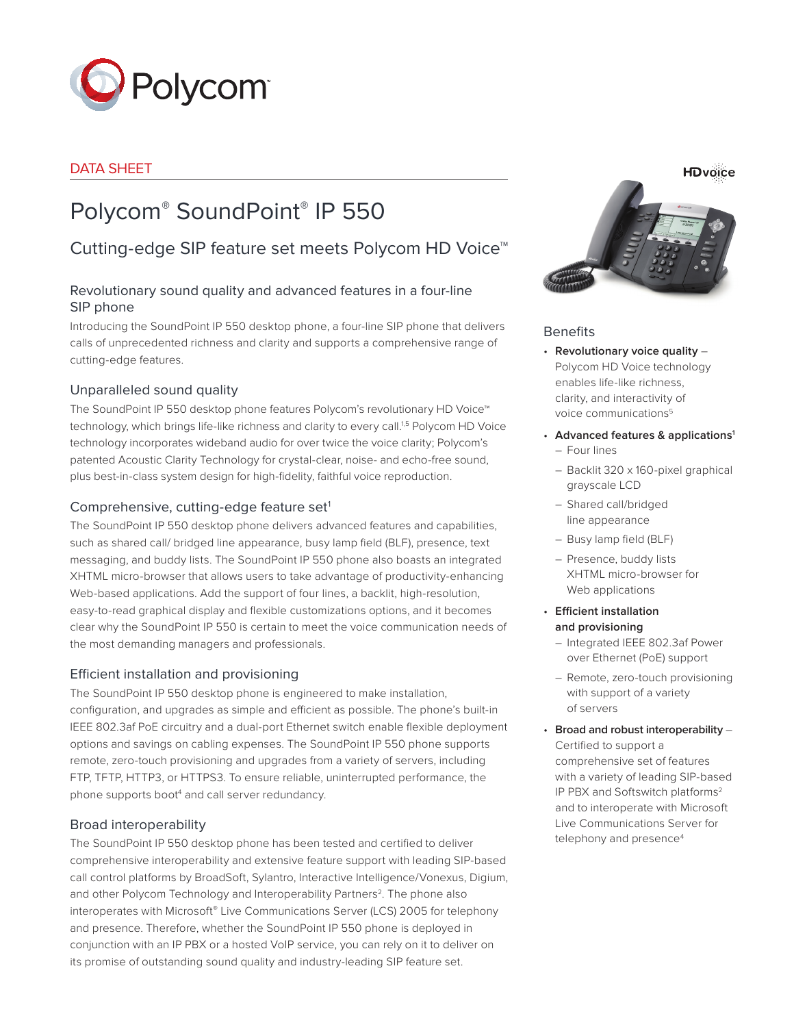

## DATA SHEET

# Polycom® SoundPoint® IP 550

## Cutting-edge SIP feature set meets Polycom HD Voice™

## Revolutionary sound quality and advanced features in a four-line SIP phone

Introducing the SoundPoint IP 550 desktop phone, a four-line SIP phone that delivers calls of unprecedented richness and clarity and supports a comprehensive range of cutting-edge features.

## Unparalleled sound quality

The SoundPoint IP 550 desktop phone features Polycom's revolutionary HD Voice™ technology, which brings life-like richness and clarity to every call.<sup>1,5</sup> Polycom HD Voice technology incorporates wideband audio for over twice the voice clarity; Polycom's patented Acoustic Clarity Technology for crystal-clear, noise- and echo-free sound, plus best-in-class system design for high-fidelity, faithful voice reproduction.

## Comprehensive, cutting-edge feature set<sup>1</sup>

The SoundPoint IP 550 desktop phone delivers advanced features and capabilities, such as shared call/ bridged line appearance, busy lamp field (BLF), presence, text messaging, and buddy lists. The SoundPoint IP 550 phone also boasts an integrated XHTML micro-browser that allows users to take advantage of productivity-enhancing Web-based applications. Add the support of four lines, a backlit, high-resolution, easy-to-read graphical display and flexible customizations options, and it becomes clear why the SoundPoint IP 550 is certain to meet the voice communication needs of the most demanding managers and professionals.

### Efficient installation and provisioning

The SoundPoint IP 550 desktop phone is engineered to make installation, configuration, and upgrades as simple and efficient as possible. The phone's built-in IEEE 802.3af PoE circuitry and a dual-port Ethernet switch enable flexible deployment options and savings on cabling expenses. The SoundPoint IP 550 phone supports remote, zero-touch provisioning and upgrades from a variety of servers, including FTP, TFTP, HTTP3, or HTTPS3. To ensure reliable, uninterrupted performance, the phone supports boot<sup>4</sup> and call server redundancy.

#### Broad interoperability

The SoundPoint IP 550 desktop phone has been tested and certified to deliver comprehensive interoperability and extensive feature support with leading SIP-based call control platforms by BroadSoft, Sylantro, Interactive Intelligence/Vonexus, Digium, and other Polycom Technology and Interoperability Partners<sup>2</sup>. The phone also interoperates with Microsoft® Live Communications Server (LCS) 2005 for telephony and presence. Therefore, whether the SoundPoint IP 550 phone is deployed in conjunction with an IP PBX or a hosted VoIP service, you can rely on it to deliver on its promise of outstanding sound quality and industry-leading SIP feature set.

**HDvoice** 



#### **Benefits**

- • **Revolutionary voice quality** Polycom HD Voice technology enables life-like richness, clarity, and interactivity of voice communications<sup>5</sup>
- • **Advanced features & applications1**
	- Four lines
	- Backlit 320 x 160-pixel graphical grayscale LCD
	- Shared call/bridged line appearance
	- Busy lamp field (BLF)
	- Presence, buddy lists XHTML micro-browser for Web applications
- • **Efficient installation and provisioning**
	- Integrated IEEE 802.3af Power over Ethernet (PoE) support
	- Remote, zero-touch provisioning with support of a variety of servers
- • **Broad and robust interoperability** Certified to support a comprehensive set of features with a variety of leading SIP-based IP PBX and Softswitch platforms2 and to interoperate with Microsoft Live Communications Server for telephony and presence<sup>4</sup>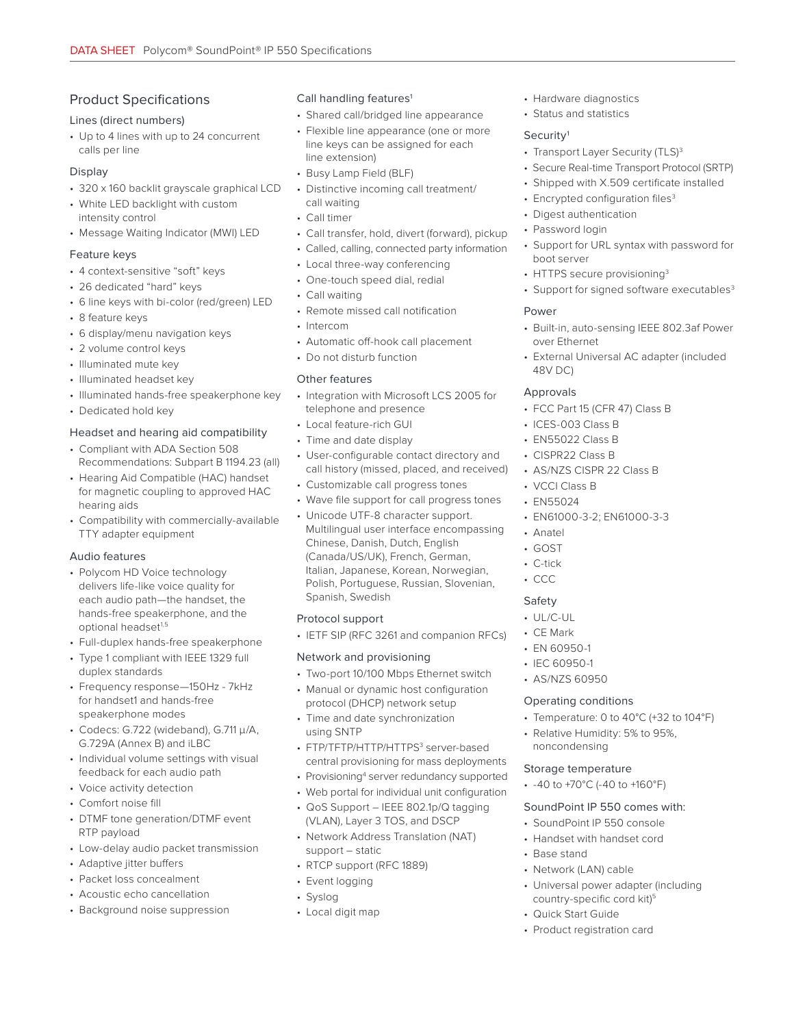## Product Specifications

#### Lines (direct numbers)

• Up to 4 lines with up to 24 concurrent calls per line

#### Display

- 320 x 160 backlit grayscale graphical LCD
- White LED backlight with custom intensity control
- Message Waiting Indicator (MWI) LED

#### Feature keys

- 4 context-sensitive "soft" keys
- 26 dedicated "hard" keys
- 6 line keys with bi-color (red/green) LED
- 8 feature keys
- 6 display/menu navigation keys
- 2 volume control keys
- Illuminated mute key
- Illuminated headset key
- Illuminated hands-free speakerphone key
- Dedicated hold key

#### Headset and hearing aid compatibility

- Compliant with ADA Section 508 Recommendations: Subpart B 1194.23 (all)
- Hearing Aid Compatible (HAC) handset for magnetic coupling to approved HAC hearing aids
- Compatibility with commercially-available TTY adapter equipment

#### Audio features

- Polycom HD Voice technology delivers life-like voice quality for each audio path—the handset, the hands-free speakerphone, and the optional headset<sup>1,5</sup>
- Full-duplex hands-free speakerphone
- Type 1 compliant with IEEE 1329 full duplex standards
- Frequency response—150Hz 7kHz for handset1 and hands-free speakerphone modes
- Codecs: G.722 (wideband), G.711 μ/A, G.729A (Annex B) and iLBC
- Individual volume settings with visual feedback for each audio path
- Voice activity detection
- Comfort noise fill
- DTMF tone generation/DTMF event RTP payload
- Low-delay audio packet transmission
- Adaptive jitter buffers
- Packet loss concealment
- Acoustic echo cancellation
- Background noise suppression

#### Call handling features<sup>1</sup>

- Shared call/bridged line appearance
- Flexible line appearance (one or more line keys can be assigned for each line extension)
- Busy Lamp Field (BLF)
- Distinctive incoming call treatment/ call waiting
- Call timer
- Call transfer, hold, divert (forward), pickup
- Called, calling, connected party information
- Local three-way conferencing
- One-touch speed dial, redial
- Call waiting
- Remote missed call notification
- Intercom
- Automatic off-hook call placement
- Do not disturb function

#### Other features

- Integration with Microsoft LCS 2005 for telephone and presence
- Local feature-rich GUI
- Time and date display
- User-configurable contact directory and call history (missed, placed, and received)
- Customizable call progress tones
- Wave file support for call progress tones
- Unicode UTF-8 character support. Multilingual user interface encompassing Chinese, Danish, Dutch, English (Canada/US/UK), French, German, Italian, Japanese, Korean, Norwegian, Polish, Portuguese, Russian, Slovenian, Spanish, Swedish

#### Protocol support

• IETF SIP (RFC 3261 and companion RFCs)

#### Network and provisioning

- Two-port 10/100 Mbps Ethernet switch
- Manual or dynamic host configuration protocol (DHCP) network setup
- Time and date synchronization using SNTP
- FTP/TFTP/HTTP/HTTPS<sup>3</sup> server-based central provisioning for mass deployments
- Provisioning<sup>4</sup> server redundancy supported
- Web portal for individual unit configuration
- QoS Support IEEE 802.1p/Q tagging (VLAN), Layer 3 TOS, and DSCP
- Network Address Translation (NAT) support – static
- RTCP support (RFC 1889)
- Event logging
- Syslog
- Local digit map
- Hardware diagnostics
- Status and statistics

#### Security<sup>1</sup>

- Transport Layer Security (TLS)<sup>3</sup>
- Secure Real-time Transport Protocol (SRTP)
- Shipped with X.509 certificate installed
- Encrypted configuration files<sup>3</sup>
- Digest authentication
- Password login
- Support for URL syntax with password for boot server
- HTTPS secure provisioning<sup>3</sup>
- Support for signed software executables<sup>3</sup>

#### Power

- Built-in, auto-sensing IEEE 802.3af Power over Ethernet
- External Universal AC adapter (included 48V DC)

#### Approvals

- FCC Part 15 (CFR 47) Class B
- ICES-003 Class B
- EN55022 Class B
- CISPR22 Class B
- AS/NZS CISPR 22 Class B
- VCCI Class B
- EN55024

• Anatel • GOST • C-tick • CCC Safety • UL/C-UL • CE Mark • EN 60950-1 • IEC 60950-1 • AS/NZS 60950

• EN61000-3-2; EN61000-3-3

Operating conditions

noncondensing Storage temperature • -40 to +70°C (-40 to +160°F) SoundPoint IP 550 comes with: • SoundPoint IP 550 console • Handset with handset cord

• Base stand

• Network (LAN) cable

• Quick Start Guide • Product registration card

• Universal power adapter (including country-specific cord kit)<sup>5</sup>

• Temperature: 0 to 40°C (+32 to 104°F) • Relative Humidity: 5% to 95%,